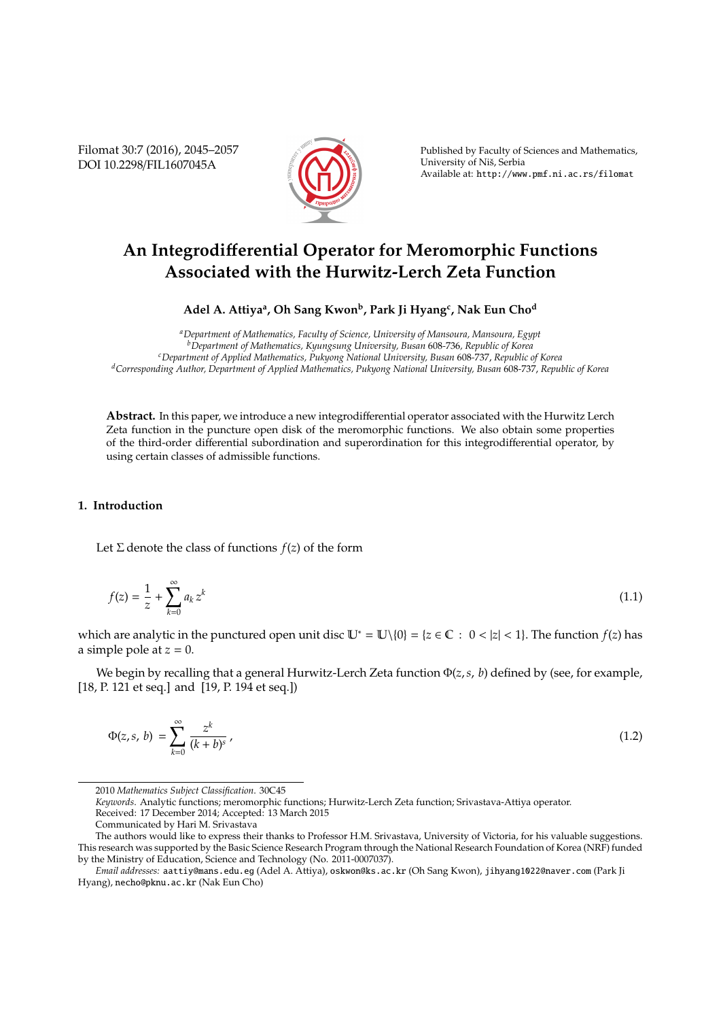Filomat 30:7 (2016), 2045–2057 DOI 10.2298/FIL1607045A



Published by Faculty of Sciences and Mathematics, University of Niš, Serbia Available at: http://www.pmf.ni.ac.rs/filomat

# **An Integrodi**ff**erential Operator for Meromorphic Functions Associated with the Hurwitz-Lerch Zeta Function**

**Adel A. Attiya<sup>a</sup> , Oh Sang Kwon<sup>b</sup> , Park Ji Hyang<sup>c</sup> , Nak Eun Cho<sup>d</sup>**

*<sup>a</sup>Department of Mathematics, Faculty of Science, University of Mansoura, Mansoura, Egypt <sup>b</sup>Department of Mathematics, Kyungsung University, Busan* 608*-*736*, Republic of Korea <sup>c</sup>Department of Applied Mathematics, Pukyong National University, Busan* 608*-*737, *Republic of Korea <sup>d</sup>Corresponding Author, Department of Applied Mathematics, Pukyong National University, Busan* 608*-*737, *Republic of Korea*

**Abstract.** In this paper, we introduce a new integrodifferential operator associated with the Hurwitz Lerch Zeta function in the puncture open disk of the meromorphic functions. We also obtain some properties of the third-order differential subordination and superordination for this integrodifferential operator, by using certain classes of admissible functions.

## **1. Introduction**

Let  $\Sigma$  denote the class of functions  $f(z)$  of the form

$$
f(z) = \frac{1}{z} + \sum_{k=0}^{\infty} a_k z^k
$$
 (1.1)

which are analytic in the punctured open unit disc  $\mathbb{U}^* = \mathbb{U}\setminus\{0\} = \{z \in \mathbb{C} : 0 < |z| < 1\}$ . The function  $f(z)$  has a simple pole at  $z = 0$ .

We begin by recalling that a general Hurwitz-Lerch Zeta function Φ(*z*,*s*, *b*) defined by (see, for example, [18, P. 121 et seq.] and [19, P. 194 et seq.])

$$
\Phi(z,s,\,b) \,=\, \sum_{k=0}^{\infty} \frac{z^k}{(k+b)^s} \,,\tag{1.2}
$$

*Keywords*. Analytic functions; meromorphic functions; Hurwitz-Lerch Zeta function; Srivastava-Attiya operator. Received: 17 December 2014; Accepted: 13 March 2015

<sup>2010</sup> *Mathematics Subject Classification*. 30C45

Communicated by Hari M. Srivastava

The authors would like to express their thanks to Professor H.M. Srivastava, University of Victoria, for his valuable suggestions. This research was supported by the Basic Science Research Program through the National Research Foundation of Korea (NRF) funded by the Ministry of Education, Science and Technology (No. 2011-0007037).

*Email addresses:* aattiy@mans.edu.eg (Adel A. Attiya), oskwon@ks.ac.kr (Oh Sang Kwon), jihyang1022@naver.com (Park Ji Hyang), necho@pknu.ac.kr (Nak Eun Cho)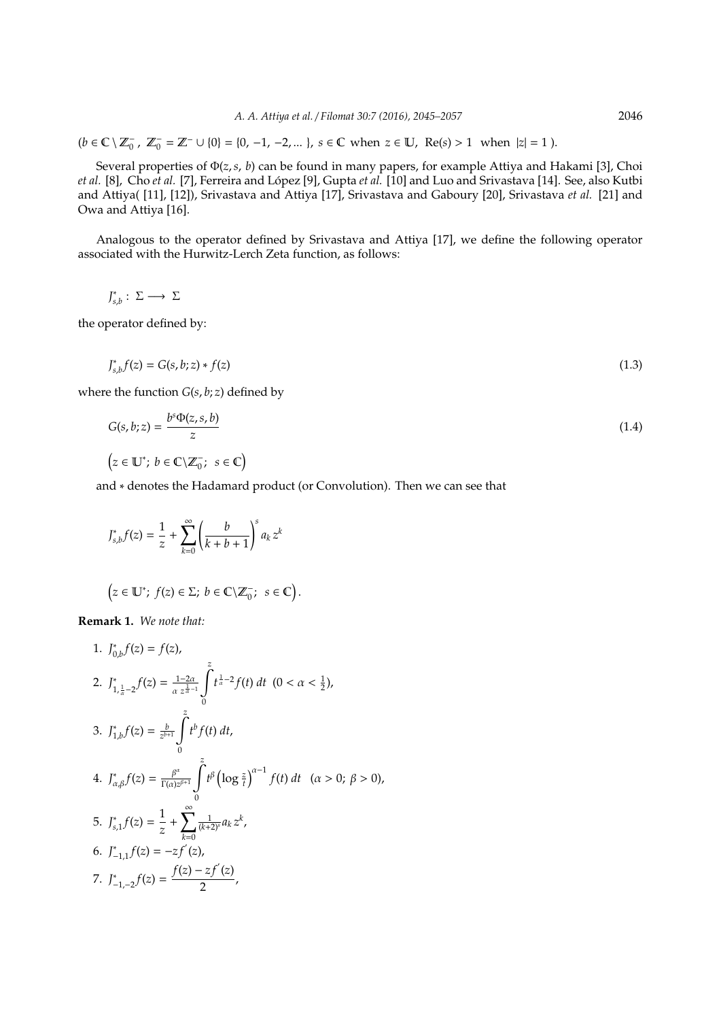$(b \in \mathbb{C} \setminus \mathbb{Z}_0^ \mathbb{Z}_0^-$ ,  $\mathbb{Z}_0^-$  =  $\mathbb{Z}^-$  ∪ {0} = {0, -1, -2, ... }, *s* ∈ **C** when  $z$  ∈ **U**, Re(*s*) > 1 when  $|z|$  = 1).

Several properties of Φ(*z*,*s*, *b*) can be found in many papers, for example Attiya and Hakami [3], Choi *et al.* [8], Cho *et al.* [7], Ferreira and López [9], Gupta *et al.* [10] and Luo and Srivastava [14]. See, also Kutbi and Attiya( [11], [12]), Srivastava and Attiya [17], Srivastava and Gaboury [20], Srivastava *et al.* [21] and Owa and Attiya [16].

Analogous to the operator defined by Srivastava and Attiya [17], we define the following operator associated with the Hurwitz-Lerch Zeta function, as follows:

$$
J_{s,b}^* : \Sigma \longrightarrow \Sigma
$$

the operator defined by:

$$
J_{s,b}^* f(z) = G(s,b;z) * f(z)
$$
\n(1.3)

where the function  $G(s, b; z)$  defined by

$$
G(s, b; z) = \frac{b^{s} \Phi(z, s, b)}{z}
$$
  
( $z \in \mathbb{U}^{*}$ ;  $b \in \mathbb{C} \setminus \mathbb{Z}_{0}^{-}$ ;  $s \in \mathbb{C}$ ) (1.4)

and ∗ denotes the Hadamard product (or Convolution). Then we can see that

$$
J_{s,b}^* f(z) = \frac{1}{z} + \sum_{k=0}^{\infty} \left( \frac{b}{k+b+1} \right)^s a_k z^k
$$

 $\left(z \in \mathbb{U}^*\right; f(z) \in \Sigma; b \in \mathbb{C} \backslash \mathbb{Z}_0^ \bar{s}$ ;  $s \in \mathbb{C}$ .

**Remark 1.** *We note that:*

1. 
$$
J_{0,b}^{*}f(z) = f(z),
$$
  
\n2. 
$$
J_{1,\frac{1}{\alpha}-2}^{*}f(z) = \frac{1-2\alpha}{\alpha z^{\frac{1}{\alpha}-1}} \int_{0}^{z} t^{\frac{1}{\alpha}-2} f(t) dt \quad (0 < \alpha < \frac{1}{2}),
$$
  
\n3. 
$$
J_{1,b}^{*}f(z) = \frac{b}{z^{b+1}} \int_{0}^{z} t^{b} f(t) dt,
$$
  
\n4. 
$$
J_{\alpha,\beta}^{*}f(z) = \frac{\beta^{\alpha}}{\Gamma(\alpha)z^{\beta+1}} \int_{0}^{z} t^{\beta} (\log \frac{z}{t})^{\alpha-1} f(t) dt \quad (\alpha > 0; \beta > 0),
$$
  
\n5. 
$$
J_{s,1}^{*}f(z) = \frac{1}{z} + \sum_{k=0}^{\infty} \frac{1}{(k+2)^{\alpha}} a_{k} z^{k},
$$
  
\n6. 
$$
J_{-1,1}^{*}f(z) = -z f^{'}(z),
$$
  
\n7. 
$$
J_{-1,-2}^{*}f(z) = \frac{f(z) - z f^{'}(z)}{2},
$$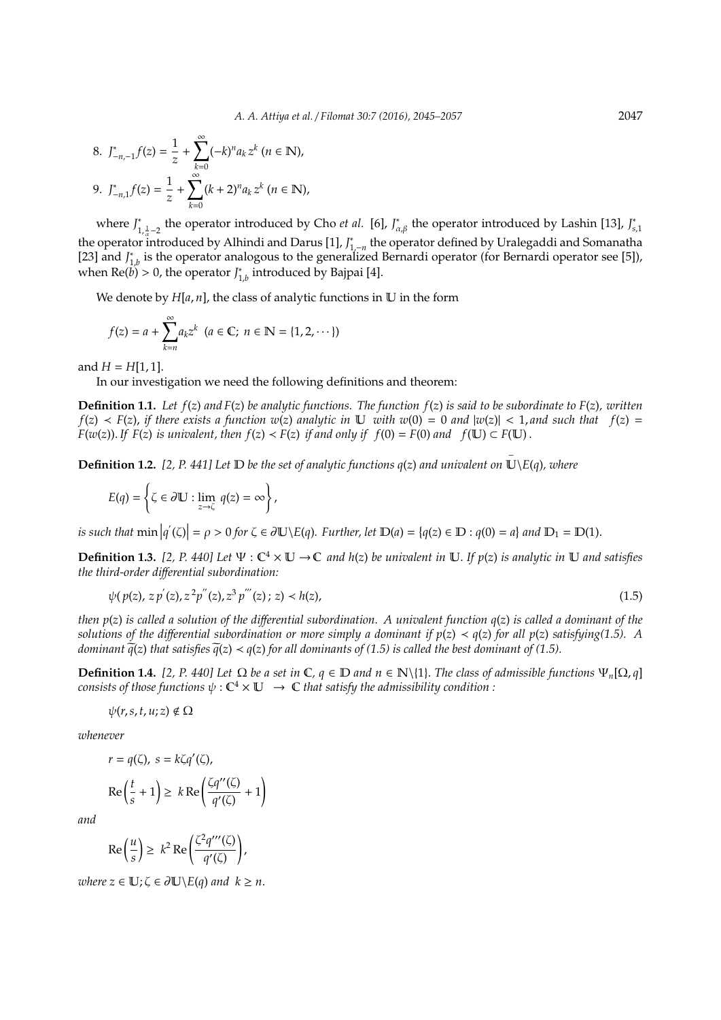8. 
$$
J_{-n,-1}^* f(z) = \frac{1}{z} + \sum_{k=0}^{\infty} (-k)^n a_k z^k \ (n \in \mathbb{N}),
$$
  
9. 
$$
J_{-n,1}^* f(z) = \frac{1}{z} + \sum_{k=0}^{\infty} (k+2)^n a_k z^k \ (n \in \mathbb{N}),
$$

where *J* ∗ <sup>\*</sup><sub>1, $\frac{1}{a}-2$ </sub> the operator introduced by Cho *et al.* [6], *J*<sub>\*</sub><sub>*a*</sub> the operator introduced by Lashin [13], *J*<sup>\*</sup><sub>*s*</sub> the operator introduced by Alhindi and Darus [1], *J*<sub>1,−*n*</sub> the operator defined by Uralegaddi and Somanatha *s*,1 [23] and *J* ∗  $_{1,b}^{\ast}$  is the operator analogous to the generalized Bernardi operator (for Bernardi operator see [5]), when  $\text{Re}(b) > 0$ , the operator  $J_1^*$  $_{1,b}^{\ast}$  introduced by Bajpai [4].

We denote by  $H[a, n]$ , the class of analytic functions in  $\mathbb U$  in the form

$$
f(z) = a + \sum_{k=n}^{\infty} a_k z^k \ \ (a \in \mathbb{C}; \ n \in \mathbb{N} = \{1, 2, \cdots\})
$$

and  $H = H[1, 1]$ .

In our investigation we need the following definitions and theorem:

**Definition 1.1.** *Let f*(*z*) *and F*(*z*) *be analytic functions. The function f*(*z*) *is said to be subordinate to F*(*z*)*, written*  $f(z) \prec F(z)$ , *if there exists a function w*(*z*) *analytic in* U *with w*(0) = 0 *and*  $|w(z)| \prec 1$ , *and such that*  $f(z)$  = *F*(*w*(*z*)). *If F*(*z*) *is univalent, then*  $f(z) < F(z)$  *if and only if*  $f(0) = F(0)$  *and*  $f(\mathbb{U}) \subset F(\mathbb{U})$ .

−

**Definition 1.2.** *[2, P. 441] Let* D *be the set of analytic functions q*(*z*) *and univalent on* U\*E*(*q*)*, where*

$$
E(q) = \left\{ \zeta \in \partial \mathbb{U} : \lim_{z \to \zeta} q(z) = \infty \right\},\
$$

*is such that*  $\min |q'(\zeta)| = \rho > 0$  *for*  $\zeta \in \partial \mathbb{U} \setminus E(q)$ *. Further, let*  $\mathbb{D}(a) = \{q(z) \in \mathbb{D} : q(0) = a\}$  and  $\mathbb{D}_1 = \mathbb{D}(1)$ *.* 

**Definition 1.3.** [2, P. 440] Let  $\Psi : \mathbb{C}^4 \times \mathbb{U} \to \mathbb{C}$  and h(z) be univalent in  $\mathbb{U}$ . If  $p(z)$  is analytic in  $\mathbb{U}$  and satisfies *the third-order di*ff*erential subordination:*

$$
\psi(p(z), z p'(z), z^2 p''(z), z^3 p'''(z); z) < h(z),\tag{1.5}
$$

*then p*(*z*) *is called a solution of the di*ff*erential subordination. A univalent function q*(*z*) *is called a dominant of the solutions of the differential subordination or more simply a dominant if*  $p(z) \prec q(z)$  *for all*  $p(z)$  *satisfying(1.5). A dominant*  $\tilde{q}(z)$  *that satisfies*  $\tilde{q}(z) < q(z)$  *for all dominants of (1.5) is called the best dominant of (1.5).* 

**Definition 1.4.** [2, P. 440] Let Ω be a set in **C**,  $q ∈ D$  and  $n ∈ N\{1\}$ . The class of admissible functions  $\Psi_n[Ω, q]$  $\textit{consists of those functions } \psi: \mathbb{C}^4 \times \mathbb{U} \ \to \ \mathbb{C}$  that satisfy the admissibility condition :

$$
\psi(r,s,t,u;z)\notin\Omega
$$

*whenever*

$$
r = q(\zeta), s = k\zeta q'(\zeta),
$$
  
\n
$$
\text{Re}\left(\frac{t}{s} + 1\right) \ge k \text{Re}\left(\frac{\zeta q''(\zeta)}{q'(\zeta)} + 1\right)
$$

!

*and*

$$
\operatorname{Re}\left(\frac{u}{s}\right) \geq k^2 \operatorname{Re}\left(\frac{\zeta^2 q'''(\zeta)}{q'(\zeta)}\right),\,
$$

*where*  $z \in U$ ;  $\zeta \in \partial U \setminus E(q)$  *and*  $k \geq n$ .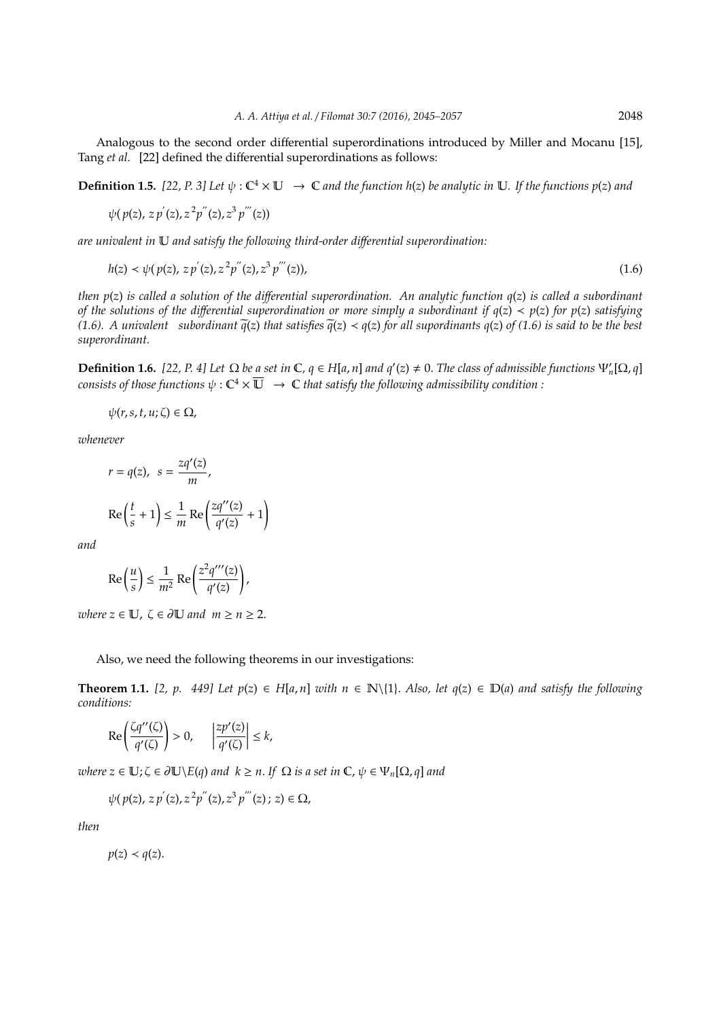Analogous to the second order differential superordinations introduced by Miller and Mocanu [15], Tang *et al.* [22] defined the differential superordinations as follows:

**Definition 1.5.** [22, P. 3] Let  $\psi$  :  $\mathbb{C}^4 \times \mathbb{U} \to \mathbb{C}$  and the function h(z) be analytic in  $\mathbb{U}$ . If the functions p(z) and

$$
\psi(p(z), z\, p^{'}(z), z^2 p^{''}(z), z^3\, p^{'''}(z))
$$

0

*are univalent in* U *and satisfy the following third-order di*ff*erential superordination:*

$$
h(z) \prec \psi(p(z), z p'(z), z^2 p''(z), z^3 p'''(z)), \tag{1.6}
$$

*then p*(*z*) *is called a solution of the di*ff*erential superordination. An analytic function q*(*z*) *is called a subordinant of the solutions of the di*ff*erential superordination or more simply a subordinant if q*(*z*) ≺ *p*(*z*) *for p*(*z*) *satisfying (1.6). A univalent subordinant*  $\tilde{q}(z)$  *that satisfies*  $\tilde{q}(z) < q(z)$  *for all supordinants q(z) of (1.6) is said to be the best superordinant.*

**Definition 1.6.** [22, P. 4] Let  $\Omega$  be a set in  $\mathbb{C}$ ,  $q \in H[a, n]$  and  $q'(z) \neq 0$ . The class of admissible functions  $\Psi_n'[\Omega, q]$ consists of those functions  $\psi:\mathbb C^4\times\overline{\mathbb U} \ \to\ \mathbb C$  that satisfy the following admissibility condition :

 $\psi(r,s,t,u;\zeta) \in \Omega$ ,

*whenever*

$$
r = q(z), \quad s = \frac{zq'(z)}{m},
$$

$$
\text{Re}\left(\frac{t}{s} + 1\right) \le \frac{1}{m} \text{Re}\left(\frac{zq''(z)}{q'(z)} + 1\right)
$$

*and*

$$
\operatorname{Re}\left(\frac{u}{s}\right) \le \frac{1}{m^2} \operatorname{Re}\left(\frac{z^2 q'''(z)}{q'(z)}\right),
$$

*where*  $z \in U$ ,  $\zeta \in \partial U$  *and*  $m \ge n \ge 2$ .

Also, we need the following theorems in our investigations:

!

**Theorem 1.1.** [2, p. 449] Let  $p(z)$  ∈ H[a, n] with  $n ∈ \mathbb{N}{1}$ . Also, let  $q(z) ∈ \mathbb{D}(a)$  and satisfy the following *conditions:*

$$
\operatorname{Re}\left(\frac{\zeta q''(\zeta)}{q'(\zeta)}\right) > 0, \quad \left|\frac{zp'(z)}{q'(\zeta)}\right| \le k,
$$

*where*  $z \in \mathbb{U}$ ;  $\zeta \in \partial \mathbb{U} \setminus E(q)$  *and*  $k \geq n$ . If  $\Omega$  *is a set in*  $\mathbb{C}$ ,  $\psi \in \Psi_n[\Omega, q]$  *and* 

 $\psi(p(z), z p'(z), z^2 p''(z), z^3 p'''(z); z) \in \Omega,$ 

*then*

 $p(z) \prec q(z)$ .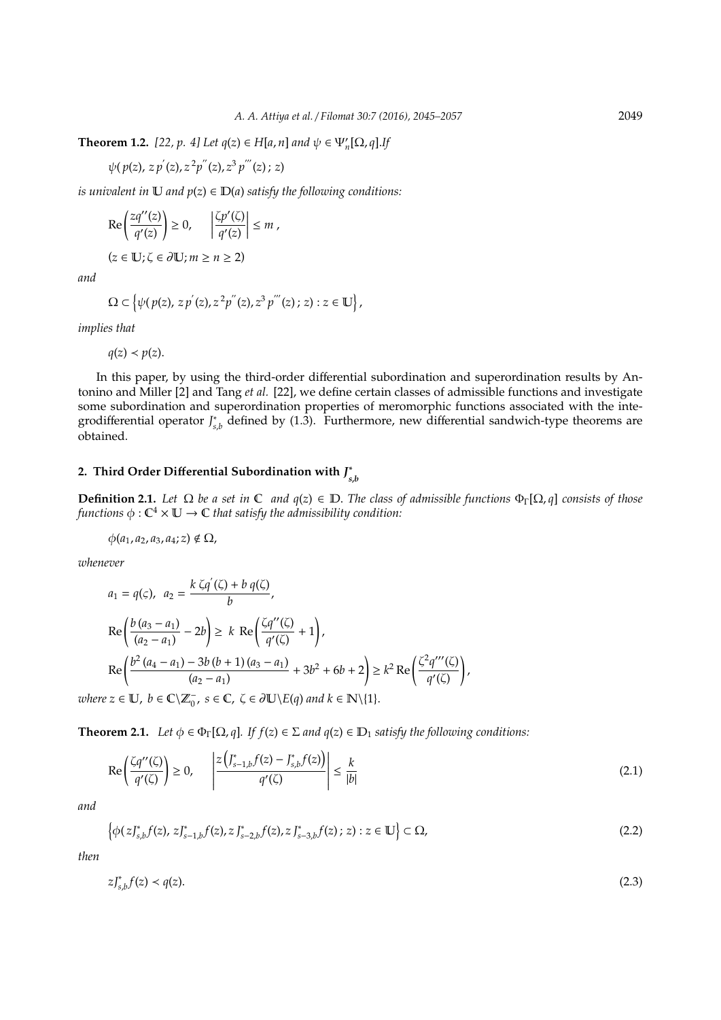**Theorem 1.2.** [22, p. 4] Let  $q(z) ∈ H[a, n]$  and  $ψ ∈ Ψ'_n[Ω, q].$  If

$$
\psi(p(z), z p^{'}(z), z^{2} p^{''}(z), z^{3} p^{'''}(z); z)
$$

*is univalent in*  $\mathbb U$  *and*  $p(z) \in \mathbb D(a)$  *satisfy the following conditions:* 

$$
\operatorname{Re}\left(\frac{zq''(z)}{q'(z)}\right) \ge 0, \quad \left|\frac{\zeta p'(\zeta)}{q'(z)}\right| \le m,
$$

 $(z \in \mathbb{U}; \zeta \in \partial \mathbb{U}; m \ge n \ge 2)$ 

*and*

$$
\Omega \subset \left\{ \psi(p(z), z p^{'}(z), z^2 p^{''}(z), z^3 p^{'''}(z); z) : z \in \mathbb{U} \right\},\
$$

*implies that*

 $q(z) \prec p(z)$ .

In this paper, by using the third-order differential subordination and superordination results by Antonino and Miller [2] and Tang *et al.* [22], we define certain classes of admissible functions and investigate some subordination and superordination properties of meromorphic functions associated with the integrodifferential operator *J* ∗ *s*,*b* defined by (1.3). Furthermore, new differential sandwich-type theorems are obtained.

#### **2. Third Order Di**ff**erential Subordination with** *J* ∗ *s*,*b*

**Definition 2.1.** *Let*  $\Omega$  *be a set in*  $\mathbb{C}$  *and*  $q(z) \in \mathbb{D}$ . *The class of admissible functions*  $\Phi_{\Gamma}[\Omega, q]$  *consists of those* functions  $\phi : \mathbb C^4 \times \mathbb U \to \mathbb C$  that satisfy the admissibility condition:

$$
\phi(a_1,a_2,a_3,a_4;z) \notin \Omega,
$$

*whenever*

$$
a_1 = q(\varsigma), \ a_2 = \frac{k \zeta q'(\zeta) + b q(\zeta)}{b},
$$
  
\n
$$
\operatorname{Re}\left(\frac{b(a_3 - a_1)}{(a_2 - a_1)} - 2b\right) \ge k \operatorname{Re}\left(\frac{\zeta q''(\zeta)}{q'(\zeta)} + 1\right),
$$
  
\n
$$
\operatorname{Re}\left(\frac{b^2(a_4 - a_1) - 3b(b + 1)(a_3 - a_1)}{(a_2 - a_1)} + 3b^2 + 6b + 2\right) \ge k^2 \operatorname{Re}\left(\frac{\zeta^2 q'''(\zeta)}{q'(\zeta)}\right),
$$
  
\n
$$
2z \in \mathbb{U}, b \in \mathbb{C} \setminus \mathbb{Z}_p, s \in \mathbb{C}, \zeta \in \partial \mathbb{U} \setminus E(a) \text{ and } k \in \mathbb{N} \setminus \{1\}.
$$

*zvhere*  $\overline{C}_0$ ,  $s \in \mathbb{C}$ ,  $\zeta \in \partial \mathbb{U} \backslash E(q)$  and  $k \in \mathbb{N} \backslash \{1\}.$ 

**Theorem 2.1.** *Let*  $\phi \in \Phi_{\Gamma}[\Omega, q]$ *. If*  $f(z) \in \Sigma$  *and*  $q(z) \in \mathbb{D}_1$  *satisfy the following conditions:* 

$$
\operatorname{Re}\left(\frac{\zeta q''(\zeta)}{q'(\zeta)}\right) \ge 0, \qquad \left|\frac{z\left(\int_{s-1,b}^* f(z) - \int_{s,b}^* f(z)\right)}{q'(\zeta)}\right| \le \frac{k}{|b|} \tag{2.1}
$$

*and*

$$
\left\{\phi(z)_{s,b}^*f(z), z\right\}_{s-1,b}^*(z), z\right\}_{s-2,b}^*(z), z\right\}_{s-3,b}^*(z); z) : z \in \mathbb{U}\left\{\subset \Omega,\tag{2.2}\right\}
$$

*then*

$$
zJ_{s,b}^*f(z) < q(z). \tag{2.3}
$$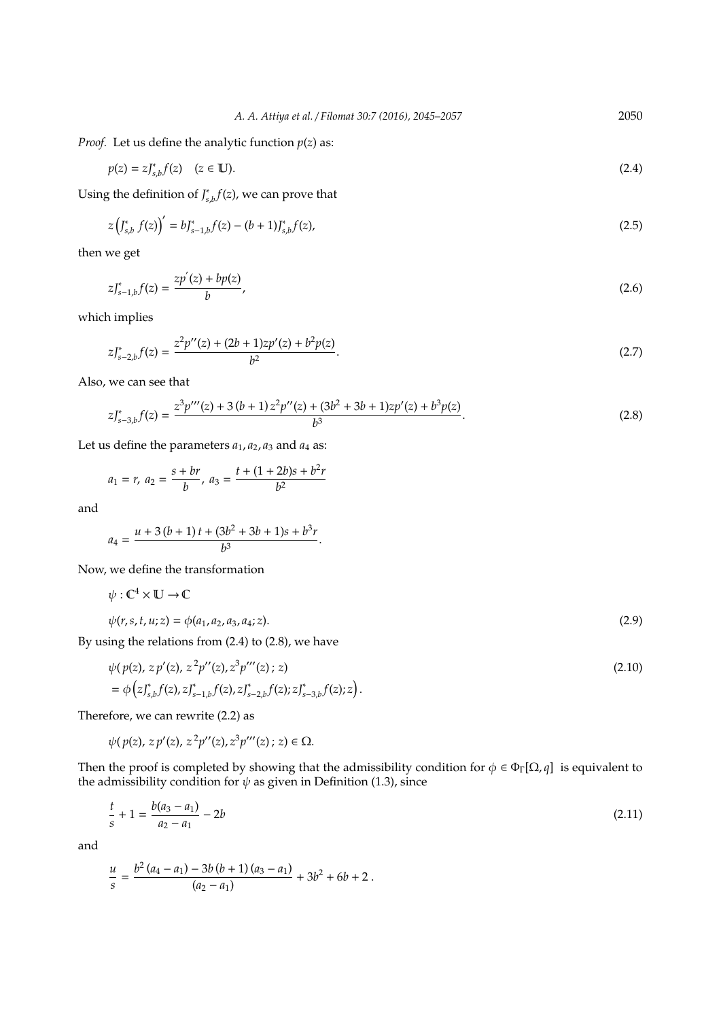*Proof.* Let us define the analytic function  $p(z)$  as:

$$
p(z) = z J_{s,b}^*(z) \quad (z \in \mathbb{U}). \tag{2.4}
$$

Using the definition of *J* ∗  $\int_{s,b}^{*} f(z)$ , we can prove that

$$
z\left(J_{s,b}^* f(z)\right)' = bJ_{s-1,b}^* f(z) - (b+1)J_{s,b}^* f(z), \tag{2.5}
$$

then we get

$$
zJ_{s-1,b}^*(z) = \frac{zp'(z) + bp(z)}{b},\tag{2.6}
$$

which implies

$$
zJ_{s-2,b}^{*}f(z) = \frac{z^{2}p''(z) + (2b+1)zp'(z) + b^{2}p(z)}{b^{2}}.
$$
\n(2.7)

Also, we can see that

$$
zJ_{s-3,b}^{*}f(z) = \frac{z^{3}p'''(z) + 3(b+1)z^{2}p''(z) + (3b^{2} + 3b + 1)zp'(z) + b^{3}p(z)}{b^{3}}.
$$
\n(2.8)

Let us define the parameters  $a_1$ ,  $a_2$ ,  $a_3$  and  $a_4$  as:

$$
a_1 = r, \ a_2 = \frac{s + br}{b}, \ a_3 = \frac{t + (1 + 2b)s + b^2r}{b^2}
$$

and

$$
a_4 = \frac{u + 3(b + 1)t + (3b^2 + 3b + 1)s + b^3r}{b^3}.
$$

Now, we define the transformation

$$
\psi : \mathbb{C}^4 \times \mathbb{U} \to \mathbb{C}
$$
  

$$
\psi(r, s, t, u; z) = \phi(a_1, a_2, a_3, a_4; z).
$$
 (2.9)

By using the relations from (2.4) to (2.8), we have

$$
\psi(p(z), z p'(z), z^2 p''(z), z^3 p'''(z); z)
$$
\n
$$
= \phi\left(z J_{s,b}^* f(z), z J_{s-1,b}^* f(z), z J_{s-2,b}^* f(z); z J_{s-3,b}^* f(z); z\right).
$$
\n(2.10)

Therefore, we can rewrite (2.2) as

$$
\psi(p(z), z\, p'(z), z^2 p''(z), z^3 p'''(z)\, ;\, z) \in \Omega.
$$

Then the proof is completed by showing that the admissibility condition for  $\phi \in \Phi_{\Gamma}[\Omega, q]$  is equivalent to the admissibility condition for  $\psi$  as given in Definition (1.3), since

$$
\frac{t}{s} + 1 = \frac{b(a_3 - a_1)}{a_2 - a_1} - 2b \tag{2.11}
$$

and

$$
\frac{u}{s}=\frac{b^2\left(a_4-a_1\right)-3b\left(b+1\right)\left(a_3-a_1\right)}{\left(a_2-a_1\right)}+3b^2+6b+2\;.
$$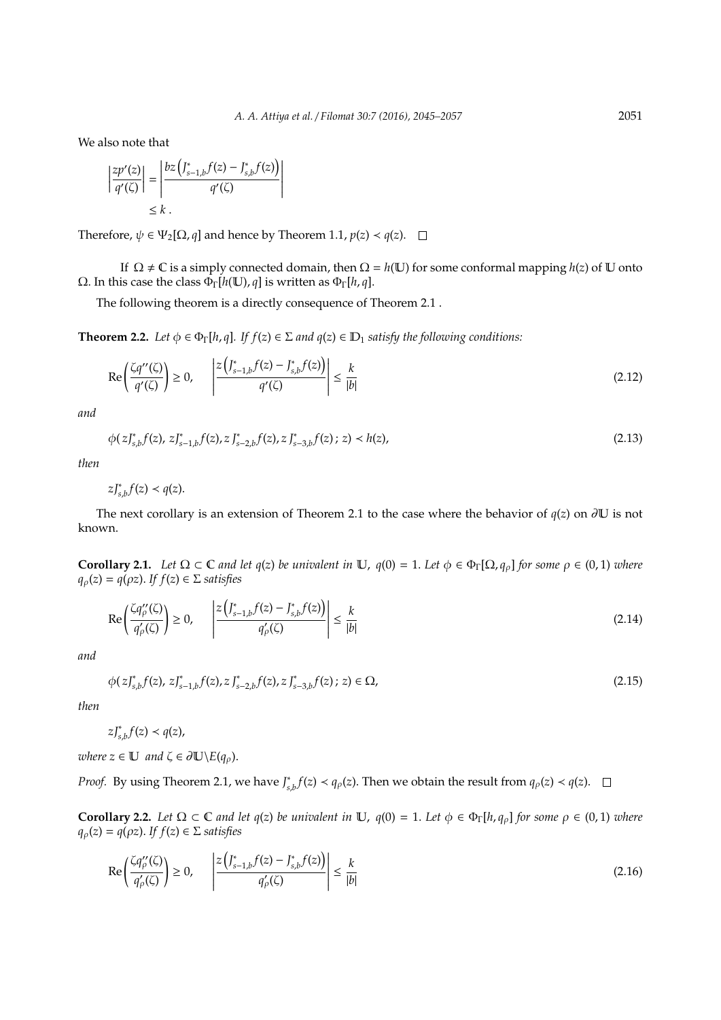We also note that

$$
\left|\frac{zp'(z)}{q'(\zeta)}\right| = \left|\frac{bz\left(\int_{s-1,b}^* f(z) - \int_{s,b}^* f(z)\right)}{q'(\zeta)}\right|
$$
  
\$\leq k\$.

Therefore,  $\psi \in \Psi_2[\Omega, q]$  and hence by Theorem 1.1,  $p(z) \prec q(z)$ .  $\Box$ 

If  $\Omega \neq \mathbb{C}$  is a simply connected domain, then  $\Omega = h(\mathbb{U})$  for some conformal mapping  $h(z)$  of  $\mathbb{U}$  onto Ω. In this case the class ΦΓ[*h*(U), *q*] is written as ΦΓ[*h*, *q*].

The following theorem is a directly consequence of Theorem 2.1 .

 $\overline{\phantom{a}}$ I I I I I  $\overline{a}$ 

**Theorem 2.2.** *Let*  $\phi \in \Phi_{\Gamma}[h, q]$ *. If*  $f(z) \in \Sigma$  *and*  $q(z) \in \mathbb{D}_1$  *satisfy the following conditions:* 

$$
\operatorname{Re}\left(\frac{\zeta q''(\zeta)}{q'(\zeta)}\right) \ge 0, \qquad \left|\frac{z\left(\int_{s-1,b}^* f(z) - \int_{s,b}^* f(z)\right)}{q'(\zeta)}\right| \le \frac{k}{|b|} \tag{2.12}
$$

*and*

$$
\phi(z)_{s,b}^* f(z), z \, J_{s-1,b}^* f(z), z \, J_{s-2,b}^* f(z), z \, J_{s-3,b}^* f(z); \, z) < h(z), \tag{2.13}
$$

*then*

 $zJ_{s,b}^*f(z) \prec q(z).$ 

The next corollary is an extension of Theorem 2.1 to the case where the behavior of *q*(*z*) on ∂U is not known.

**Corollary 2.1.** Let  $\Omega \subset \mathbb{C}$  *and let*  $q(z)$  *be univalent in*  $\mathbb{U}$ ,  $q(0) = 1$ . Let  $\phi \in \Phi_{\Gamma}[\Omega, q_o]$  for some  $\rho \in (0, 1)$  where  $q_{\rho}(z) = q(\rho z)$ . *If*  $f(z) \in \Sigma$  *satisfies* 

$$
\operatorname{Re}\left(\frac{\zeta q_{\rho}^{\prime\prime}(\zeta)}{q_{\rho}^{\prime}(\zeta)}\right) \ge 0, \qquad \left|\frac{z\left(\int_{s-1,b}^{*}f(z)-\int_{s,b}^{*}f(z)\right)}{q_{\rho}^{\prime}(\zeta)}\right| \le \frac{k}{|b|} \tag{2.14}
$$

*and*

$$
\phi(zJ_{s,b}^*f(z), zJ_{s-1,b}^*f(z), zJ_{s-2,b}^*f(z), zJ_{s-3,b}^*(z); z) \in \Omega,
$$
\n(2.15)

*then*

 $zJ_{s,b}^*f(z) \prec q(z)$ ,

*where*  $z \in U$  *and*  $\zeta \in \partial U \setminus E(q_\rho)$ .

*Proof.* By using Theorem 2.1, we have *J*<sup>\*</sup><sub>s</sub> *s*<sub>*s*</sub>*b* $f(z) < q_{\rho}(z)$ . Then we obtain the result from  $q_{\rho}(z) < q(z)$ .

**Corollary 2.2.** Let  $\Omega \subset \mathbb{C}$  and let  $q(z)$  be univalent in  $\mathbb{U}$ ,  $q(0) = 1$ . Let  $\phi \in \Phi_{\Gamma}[h, q_{\rho}]$  for some  $\rho \in (0, 1)$  where  $q_{\rho}(z) = q(\rho z)$ . *If*  $f(z) \in \Sigma$  *satisfies* 

$$
\operatorname{Re}\left(\frac{\zeta q_{\rho}^{\prime\prime}(\zeta)}{q_{\rho}^{\prime}(\zeta)}\right) \geq 0, \qquad \left|\frac{z\left(\int_{s-1,b}^{*}f(z)-\int_{s,b}^{*}f(z)\right)}{q_{\rho}^{\prime}(\zeta)}\right| \leq \frac{k}{|b|} \tag{2.16}
$$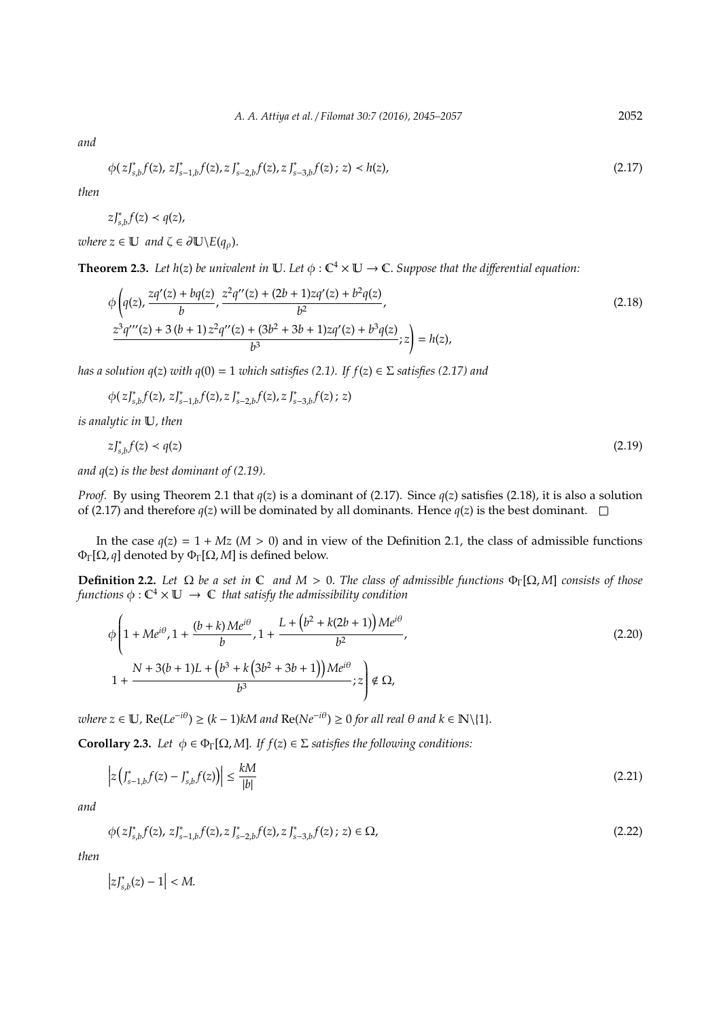*and*

$$
\phi(z)_{s,b}^* f(z), z \, J_{s-1,b}^* f(z), z \, J_{s-2,b}^* f(z), z \, J_{s-3,b}^* f(z); \, z) < h(z), \tag{2.17}
$$

*then*

$$
zJ_{s,b}^*f(z) \prec q(z),
$$

*where*  $z \in U$  *and*  $\zeta \in \partial U \setminus E(q_\rho)$ .

**Theorem 2.3.** Let  $h(z)$  be univalent in  $\mathbb{U}$ . Let  $\phi : \mathbb{C}^4 \times \mathbb{U} \to \mathbb{C}$ . Suppose that the differential equation:

$$
\phi\left(q(z), \frac{zq'(z) + bq(z)}{b}, \frac{z^2q''(z) + (2b+1)zq'(z) + b^2q(z)}{b^2}, \frac{z^3q'''(z) + 3(b+1)z^2q''(z) + (3b^2+3b+1)zq'(z) + b^3q(z)}{b^3}; z\right) = h(z),\tag{2.18}
$$

*has a solution q*(*z*) *with q*(0) = 1 *which satisfies* (2.1). If  $f(z) \in \Sigma$  *satisfies* (2.17) *and* 

φ( *zJ*<sup>∗</sup> *s*,*b f*(*z*), *zJ*<sup>∗</sup> *s*−1,*b f*(*z*), *z J*<sup>∗</sup> *s*−2,*b f*(*z*), *z J*<sup>∗</sup> *s*−3,*b f*(*z*) ; *z*)

*is analytic in* U*, then*

$$
zJ_{s,b}^*f(z) < q(z) \tag{2.19}
$$

*and q*(*z*) *is the best dominant of (2.19).*

*Proof.* By using Theorem 2.1 that *q*(*z*) is a dominant of (2.17). Since *q*(*z*) satisfies (2.18), it is also a solution of (2.17) and therefore  $q(z)$  will be dominated by all dominants. Hence  $q(z)$  is the best dominant.  $\square$ 

In the case  $q(z) = 1 + Mz$  ( $M > 0$ ) and in view of the Definition 2.1, the class of admissible functions ΦΓ[Ω, *q*] denoted by ΦΓ[Ω, *M*] is defined below.

**Definition 2.2.** *Let*  $\Omega$  *be a set in*  $\mathbb C$  *and*  $M > 0$ . *The class of admissible functions*  $\Phi_{\Gamma}[\Omega, M]$  *consists of those* functions  $\phi : \mathbb{C}^4 \times \mathbb{U} \ \to \ \mathbb{C}$  that satisfy the admissibility condition

$$
\phi \left( 1 + Me^{i\theta}, 1 + \frac{(b+k)Me^{i\theta}}{b}, 1 + \frac{L + (b^2 + k(2b+1))Me^{i\theta}}{b^2}, \frac{K}{2} + \frac{N + 3(b+1)L + (b^3 + k(3b^2 + 3b + 1))Me^{i\theta}}{b^3}; z \right) \notin \Omega,
$$
\n(2.20)

 $where \ z \in \mathbb{U}$ ,  $\text{Re}(Le^{-i\theta}) \ge (k-1)kM$  and  $\text{Re}(Ne^{-i\theta}) \ge 0$  for all real  $\theta$  and  $k \in \mathbb{N} \setminus \{1\}.$ 

**Corollary 2.3.** *Let*  $\phi \in \Phi_{\Gamma}[\Omega, M]$ *. If*  $f(z) \in \Sigma$  *satisfies the following conditions:* 

$$
\left| z\left(J_{s-1,b}^*f(z) - J_{s,b}^*f(z)\right) \right| \le \frac{kM}{|b|} \tag{2.21}
$$

*and*

$$
\phi(z)_{s,b}^* f(z), z_{s-1,b}^* f(z), z_{s-2,b}^* f(z), z_{s-3,b}^* f(z); z) \in \Omega,
$$
\n(2.22)

*then*

 $|zJ_{s,b}^*(z) - 1| < M$ .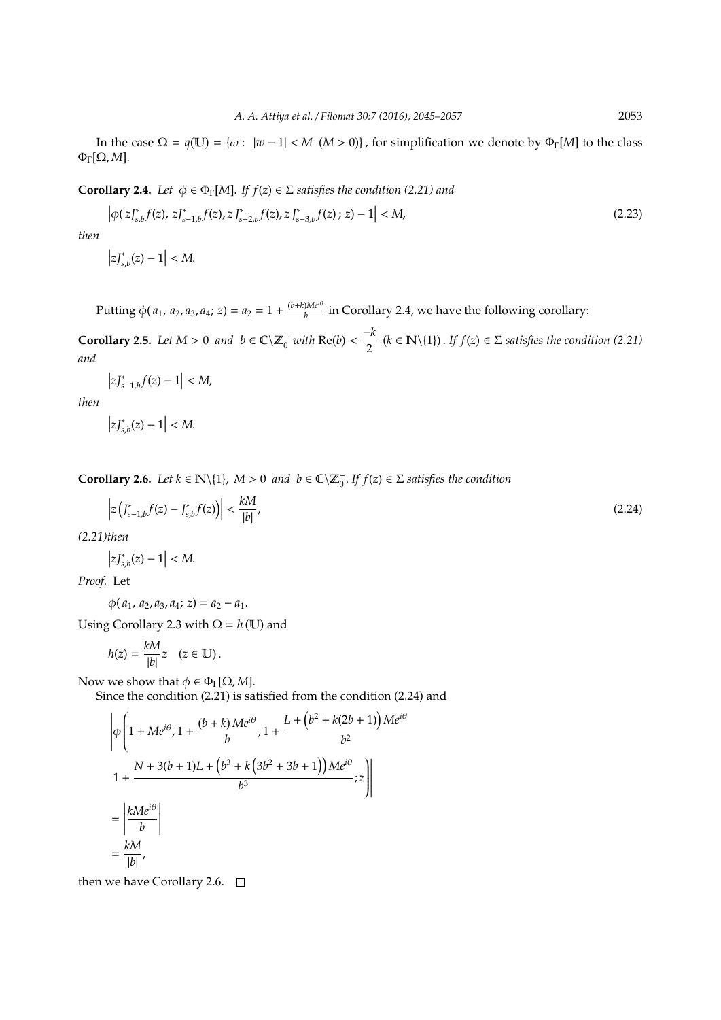In the case  $\Omega = q(\mathbb{U}) = {\omega : |w-1| < M \ (M > 0)}$ , for simplification we denote by  $\Phi_{\Gamma}[M]$  to the class ΦΓ[Ω, *M*].

**Corollary 2.4.** *Let*  $\phi \in \Phi_{\Gamma}[M]$ *. If*  $f(z) \in \Sigma$  *satisfies the condition (2.21) and* 

$$
\left|\phi(z_{s,b}^{r}f(z), z_{s-1,b}^{r}f(z), z_{s-2,b}^{r}f(z), z_{s-3,b}^{r}f(z); z) - 1\right| < M,\tag{2.23}
$$

*then*

$$
\left|zJ_{s,b}^*(z)-1\right|
$$

Putting  $\phi(a_1, a_2, a_3, a_4; z) = a_2 = 1 + \frac{(b+k)Me^{i\theta}}{b}$  $\frac{1}{b}$  in Corollary 2.4, we have the following corollary:

**Corollary 2.5.** *Let*  $M > 0$  *and*  $b \in \mathbb{C}\setminus \mathbb{Z}_0^-$  *with*  $\text{Re}(b)$  < −*k*  $\frac{-k}{2}$  (*k* ∈ **N**\{1}). *If f*(*z*) ∈ Σ *satisfies the condition* (2.21) *and*

$$
\left|zJ_{s-1,b}^*f(z)-1\right|
$$

*then*

$$
\left|zJ_{s,b}^*(z)-1\right|
$$

**Corollary 2.6.** *Let*  $k \in \mathbb{N}\setminus\{1\}$ ,  $M > 0$  *and*  $b \in \mathbb{C}\setminus\mathbb{Z}_0^-$ . If  $f(z) \in \Sigma$  satisfies the condition

$$
z\left(J_{s-1,b}^*f(z) - J_{s,b}^*f(z)\right) < \frac{kM}{|b|},\tag{2.24}
$$

*(2.21)then*

 $\overline{\phantom{a}}$  $\overline{a}$ 

$$
\left|zJ_{s,b}^*(z)-1\right|
$$

*Proof.* Let

 $\phi(a_1, a_2, a_3, a_4; z) = a_2 - a_1.$ 

Using Corollary 2.3 with  $\Omega = h(\mathbb{U})$  and

$$
h(z) = \frac{kM}{|b|}z \quad (z \in \mathbb{U}).
$$

Now we show that  $\phi \in \Phi_{\Gamma}[\Omega, M]$ .

Since the condition (2.21) is satisfied from the condition (2.24) and

$$
\left| \phi \left( 1 + Me^{i\theta}, 1 + \frac{(b+k)Me^{i\theta}}{b}, 1 + \frac{L + (b^2 + k(2b+1))Me^{i\theta}}{b^2} \right) \right|
$$
  

$$
1 + \frac{N + 3(b+1)L + (b^3 + k(3b^2 + 3b + 1))Me^{i\theta}}{b^3}; z \right|
$$
  

$$
= \left| \frac{kMe^{i\theta}}{b} \right|
$$
  

$$
= \frac{kM}{|b|},
$$

then we have Corollary 2.6.  $\Box$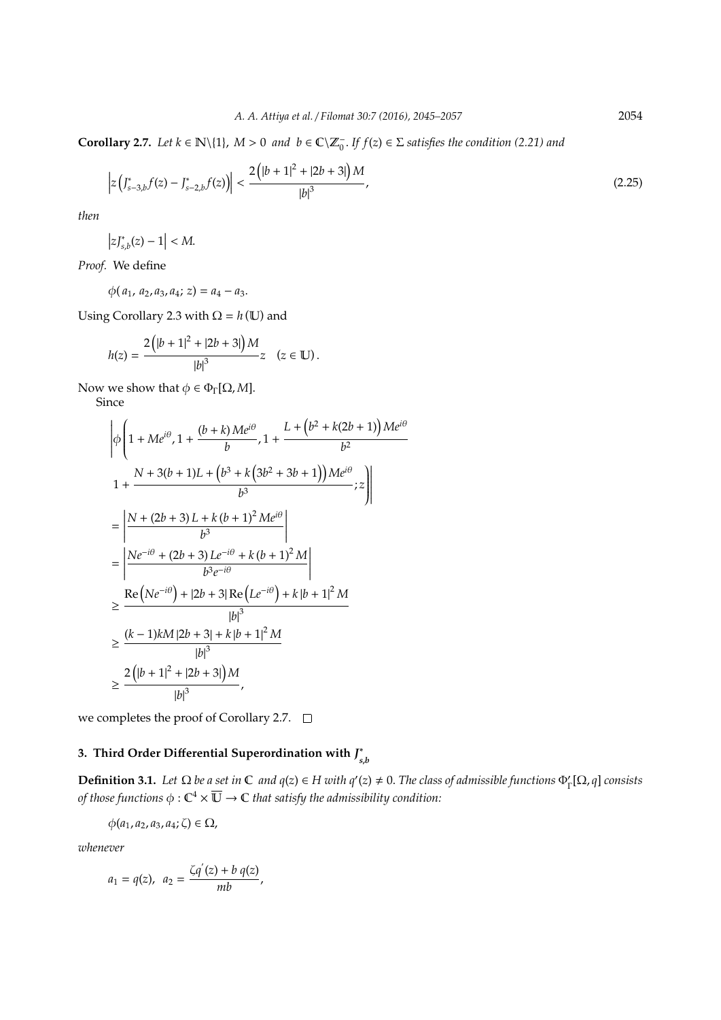**Corollary 2.7.** *Let*  $k \in \mathbb{N}\setminus\{1\}$ ,  $M > 0$  *and*  $b \in \mathbb{C}\setminus\mathbb{Z}_0^-$ . If  $f(z) \in \Sigma$  *satisfies the condition (2.21) and* 

$$
\left| z\left(J_{s-3,b}^*f(z) - J_{s-2,b}^*f(z)\right) \right| < \frac{2\left(|b+1|^2 + |2b+3|\right)M}{|b|^3},\tag{2.25}
$$

*then*

$$
\left|zJ_{s,b}^*(z)-1\right|
$$

*Proof.* We define

 $\phi(a_1, a_2, a_3, a_4; z) = a_4 - a_3.$ 

Using Corollary 2.3 with  $\Omega = h(\mathbb{U})$  and

$$
h(z) = \frac{2(|b+1|^2 + |2b+3|)M}{|b|^3}z \quad (z \in \mathbb{U}).
$$

Now we show that  $\phi \in \Phi_{\Gamma}[\Omega, M]$ .

Since

$$
\begin{aligned}\n&\left|\phi\left(1+Me^{i\theta},1+\frac{(b+k)Me^{i\theta}}{b},1+\frac{L+\left(b^2+k(2b+1)\right)Me^{i\theta}}{b^2}\right.\right.\\
&\left.1+\frac{N+3(b+1)L+\left(b^3+k\left(3b^2+3b+1\right)\right)Me^{i\theta}}{b^3};z\right)\\
&=\left|\frac{N+(2b+3)L+k\left(b+1\right)^2Me^{i\theta}}{b^3}\right|\\
&=\left|\frac{Ne^{-i\theta}+(2b+3)Le^{-i\theta}+k\left(b+1\right)^2M}{b^3e^{-i\theta}}\right|\\
&\geq \frac{\text{Re}\left(Ne^{-i\theta}\right)+|2b+3|\text{Re}\left(Le^{-i\theta}\right)+k|b+1|^2M}{|b|^3}\\
&\geq \frac{(k-1)kM|2b+3|+k|b+1|^2M}{|b|^3}\\
&\geq \frac{2\left(|b+1|^2+|2b+3|\right)M}{|b|^3},\n\end{aligned}
$$

we completes the proof of Corollary 2.7.  $\Box$ 

#### **3. Third Order Di**ff**erential Superordination with** *J* ∗ *s*,*b*

**Definition 3.1.** Let  $\Omega$  be a set in  $\mathbb C$  and  $q(z) \in H$  with  $q'(z) \neq 0$ . The class of admissible functions  $\Phi_{\Gamma}'[\Omega, q]$  consists of those functions  $\phi:\mathbb C^4 \times \overline{\mathbb U} \to \mathbb C$  that satisfy the admissibility condition:

$$
\phi(a_1, a_2, a_3, a_4; \zeta) \in \Omega,
$$

*whenever*

$$
a_1 = q(z), \ \ a_2 = \frac{\zeta q'(z) + b q(z)}{mb},
$$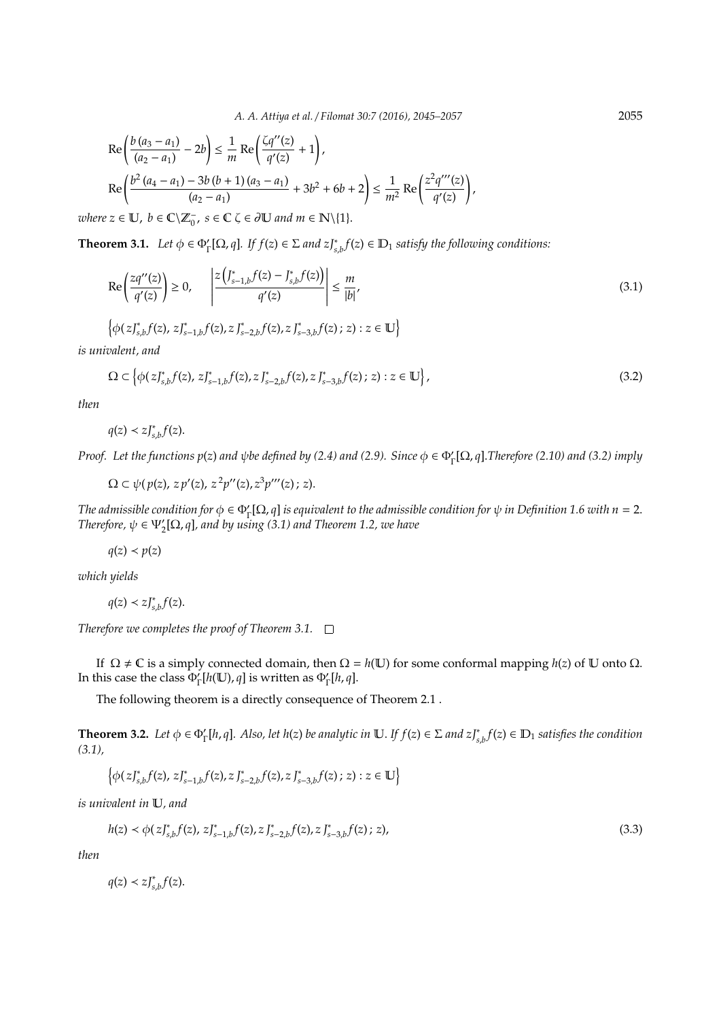$$
\begin{aligned} &\text{Re}\left(\frac{b\left(a_{3}-a_{1}\right)}{\left(a_{2}-a_{1}\right)}-2b\right) \leq \frac{1}{m}\text{Re}\left(\frac{\zeta q''(z)}{q'(z)}+1\right),\\ &\text{Re}\left(\frac{b^{2}\left(a_{4}-a_{1}\right)-3b\left(b+1\right)\left(a_{3}-a_{1}\right)}{\left(a_{2}-a_{1}\right)}+3b^{2}+6b+2\right) \leq \frac{1}{m^{2}}\text{Re}\left(\frac{z^{2}q'''(z)}{q'(z)}\right),\\ &\text{where } \mathbb{E}\left[\frac{\mathbf{v}}{q}\right]^{m} &= \mathbb{E}\left[\mathbf{v}\right]^{m} & \text{where } \mathbb{E}\left[\mathbf{v}\right]^{n} &= \mathbb{E}\left[\mathbf{v}\right]^{n} &= \mathbb{E}\left[\mathbf{v}\right]^{n} &= \mathbb{E}\left[\mathbf{v}\right]^{n} &= \mathbb{E}\left[\mathbf{v}\right]^{n} &= \mathbb{E}\left[\mathbf{v}\right]^{n} &= \mathbb{E}\left[\mathbf{v}\right]^{n} &= \mathbb{E}\left[\mathbf{v}\right]^{n} &= \mathbb{E}\left[\mathbf{v}\right]^{n} &= \mathbb{E}\left[\mathbf{v}\right]^{n} &= \mathbb{E}\left[\mathbf{v}\right]^{n} &= \mathbb{E}\left[\mathbf{v}\right]^{n} &= \mathbb{E}\left[\mathbf{v}\right]^{n} &= \mathbb{E}\left[\mathbf{v}\right]^{n} &= \mathbb{E}\left[\mathbf{v}\right]^{n} &= \mathbb{E}\left[\mathbf{v}\right]^{n} &= \mathbb{E}\left[\mathbf{v}\right]^{n} &= \mathbb{E}\left[\mathbf{v}\right]^{n} &= \mathbb{E}\left[\mathbf{v}\right]^{n} &= \mathbb{E}\left[\mathbf{v}\right]^{n} &= \mathbb{E}\left[\mathbf{v}\right]^{n} &= \mathbb{E}\left[\mathbf{v}\right]^{n} &= \mathbb{E}\left[\mathbf{v}\right]^{n} &
$$

 $where z \in \mathbb{U}, b \in \mathbb{C} \backslash \mathbb{Z}_0^-, s \in \mathbb{C} \zeta \in \partial \mathbb{U}$  and  $m \in \mathbb{N} \backslash \{1\}.$ 

**Theorem 3.1.** *Let*  $\phi \in \Phi_{\Gamma}'[\Omega, q]$ *. If*  $f(z) \in \Sigma$  *and*  $zJ_{s,b}^*f(z) \in \mathbb{D}_1$  *satisfy the following conditions:* 

$$
\operatorname{Re}\left(\frac{zq''(z)}{q'(z)}\right) \ge 0, \quad \left|\frac{z\left(\int_{s-1,b}^{*}f(z)-\int_{s,b}^{*}f(z)\right)}{q'(z)}\right| \le \frac{m}{|b|},
$$
\n
$$
\left\{\phi(z)\right\}_{s,b}^{*}f(z), z\right\}_{s-1,b}^{*}f(z), z\right\}_{s-2,b}^{*}f(z), z\right\}_{s-3,b}^{*}f(z); z) : z \in \mathbb{U}
$$
\n
$$
(3.1)
$$

*is univalent, and*

$$
\Omega \subset \left\{ \phi(z)_{s,b}^* f(z), z \right\}_{s-1,b}^* f(z), z \right\}_{s-2,b}^* f(z), z \right\}_{s-3,b}^* f(z); z) : z \in \mathbb{U} \left\},
$$
\n(3.2)

*then*

 $q(z) < zJ_{s,b}^* f(z)$ .

*Proof.* Let the functions  $p(z)$  and  $\psi$ be defined by (2.4) and (2.9). Since  $\phi \in \Phi_{\Gamma}'[\Omega, q]$ .Therefore (2.10) and (3.2) imply

 $\Omega \subset \psi(p(z), z p'(z), z^2 p''(z), z^3 p'''(z); z).$ 

*The admissible condition for*  $\phi \in \Phi_{\Gamma}'[\Omega, q]$  *is equivalent to the admissible condition for*  $\psi$  *in Definition 1.6 with n* = 2. *Therefore,*  $\psi \in \Psi_{2}'[\Omega, q]$ , and by using (3.1) and Theorem 1.2, we have

 $q(z) < p(z)$ 

*which yields*

 $q(z) < zJ_{s,b}^{*}f(z).$ 

*Therefore we completes the proof of Theorem 3.1.*

If Ω ≠ **C** is a simply connected domain, then  $Ω = h(U)$  for some conformal mapping  $h(z)$  of U onto  $Ω$ . In this case the class  $\Phi_{\Gamma}^{\prime}[h(\mathbb{U}), q]$  is written as  $\Phi_{\Gamma}^{\prime}[h, q]$ .

The following theorem is a directly consequence of Theorem 2.1 .

**Theorem 3.2.** Let  $\phi \in \Phi_{\Gamma}'[h,q]$ . Also, let  $h(z)$  be analytic in  $\mathbb{U}$ . If  $f(z) \in \Sigma$  and  $z \mathcal{J}_{s,b}^*(z) \in \mathbb{D}_1$  satisfies the condition *(3.1),*

$$
\left\{\phi(zJ^*_{s,b}f(z),\,zJ^*_{s-1,b}f(z),z\,J^*_{s-2,b}f(z),z\,J^*_{s-3,b}f(z)\,;\,z):z\in\mathbb{U}\right\}
$$

*is univalent in* U*, and*

$$
h(z) \prec \phi(z)_{s,b}^*(f(z), z)_{s-1,b}^*(f(z), z)_{s-2,b}^*(f(z), z)_{s-3,b}^*(f(z); z),
$$
\n(3.3)

*then*

 $q(z) < zJ_{s,b}^{*}f(z).$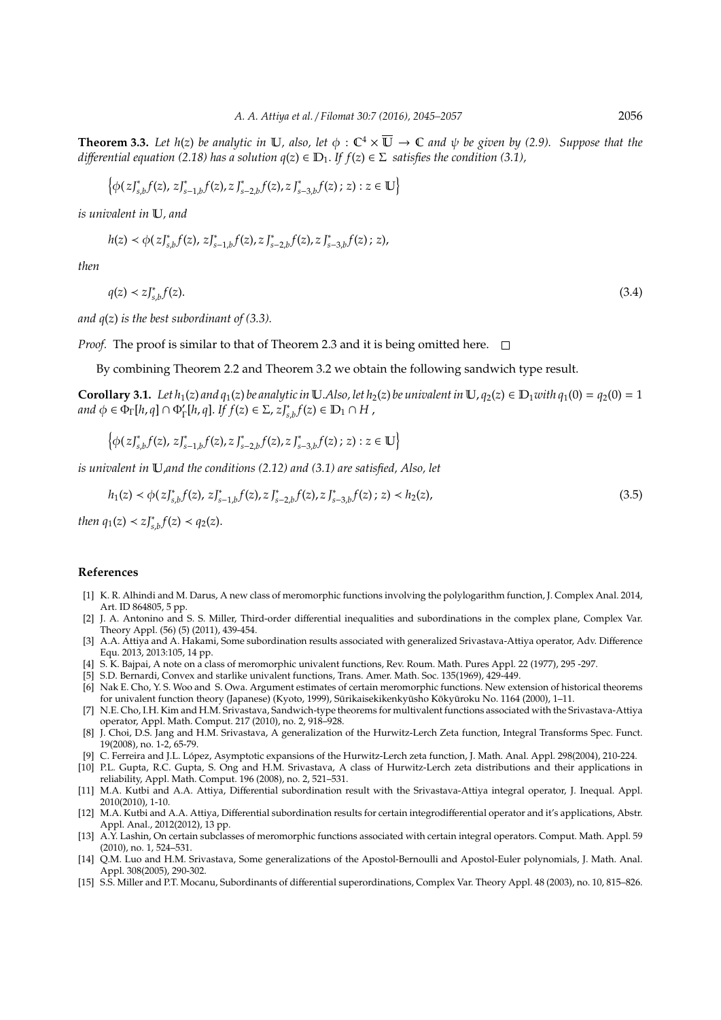**Theorem 3.3.** Let  $h(z)$  be analytic in  $\mathbb{U}$ , also, let  $\phi : \mathbb{C}^4 \times \overline{\mathbb{U}} \to \mathbb{C}$  and  $\psi$  be given by (2.9). Suppose that the *differential equation (2.18) has a solution*  $q(z) \in D_1$ *. If*  $f(z) \in \Sigma$  *satisfies the condition (3.1),* 

$$
\left\{\phi(zJ^*_{s,b}f(z),\,zJ^*_{s-1,b}f(z),z\,J^*_{s-2,b}f(z),z\,J^*_{s-3,b}f(z)\,;\,z): z\in\mathbb{U}\right\}
$$

*is univalent in* U*, and*

$$
h(z) \prec \phi(zJ^*_{s,b}f(z),\,zJ^*_{s-1,b}f(z),\,zJ^*_{s-2,b}f(z),\,zJ^*_{s-3,b}f(z)\,;\,z),
$$

*then*

 $q(z) \prec zJ_{s,b}^*$ *f*(*z*). (3.4)

*and q*(*z*) *is the best subordinant of (3.3).*

*Proof.* The proof is similar to that of Theorem 2.3 and it is being omitted here.  $\Box$ 

By combining Theorem 2.2 and Theorem 3.2 we obtain the following sandwich type result.

**Corollary 3.1.** Let  $h_1(z)$  and  $q_1(z)$  be analytic in U.Also, let  $h_2(z)$  be univalent in U,  $q_2(z) \in D_1$ with  $q_1(0) = q_2(0) = 1$  $\partial f$   $\phi \in \Phi_{\Gamma}[h, q] \cap \Phi_{\Gamma}'[h, q]$ . *If*  $f(z) \in \Sigma$ ,  $zJ_{s,b}^* f(z) \in D_1 \cap H$ ,

$$
\left\{\phi(zJ^*_{s,b}f(z),\,zJ^*_{s-1,b}f(z),z\,J^*_{s-2,b}f(z),z\,J^*_{s-3,b}f(z)\,;\,z): z\in\mathbb{U}\right\}
$$

*is univalent in* U,*and the conditions (2.12) and (3.1) are satisfied, Also, let*

$$
h_1(z) \prec \phi(z)_{s,b}^* f(z), z J_{s-1,b}^* f(z), z J_{s-2,b}^* f(z), z J_{s-3,b}^* f(z); z) \prec h_2(z), \tag{3.5}
$$

*then*  $q_1(z) < z \int_{s,b}^* f(z) < q_2(z)$ .

### **References**

- [1] K. R. Alhindi and M. Darus, A new class of meromorphic functions involving the polylogarithm function, J. Complex Anal. 2014, Art. ID 864805, 5 pp.
- [2] J. A. Antonino and S. S. Miller, Third-order differential inequalities and subordinations in the complex plane, Complex Var. Theory Appl. (56) (5) (2011), 439-454.
- [3] A.A. Attiya and A. Hakami, Some subordination results associated with generalized Srivastava-Attiya operator, Adv. Difference Equ. 2013, 2013:105, 14 pp.
- [4] S. K. Bajpai, A note on a class of meromorphic univalent functions, Rev. Roum. Math. Pures Appl. 22 (1977), 295 -297.
- [5] S.D. Bernardi, Convex and starlike univalent functions, Trans. Amer. Math. Soc. 135(1969), 429-449.
- [6] Nak E. Cho, Y. S. Woo and S. Owa. Argument estimates of certain meromorphic functions. New extension of historical theorems for univalent function theory (Japanese) (Kyoto, 1999), Sūrikaisekikenkyūsho Kōkyūroku No. 1164 (2000), 1–11.
- [7] N.E. Cho, I.H. Kim and H.M. Srivastava, Sandwich-type theorems for multivalent functions associated with the Srivastava-Attiya operator, Appl. Math. Comput. 217 (2010), no. 2, 918–928.
- [8] J. Choi, D.S. Jang and H.M. Srivastava, A generalization of the Hurwitz-Lerch Zeta function, Integral Transforms Spec. Funct. 19(2008), no. 1-2, 65-79.
- [9] C. Ferreira and J.L. Lopez, Asymptotic expansions of the Hurwitz-Lerch zeta function, J. Math. Anal. Appl. 298(2004), 210-224. ´
- [10] P.L. Gupta, R.C. Gupta, S. Ong and H.M. Srivastava, A class of Hurwitz-Lerch zeta distributions and their applications in reliability, Appl. Math. Comput. 196 (2008), no. 2, 521–531.
- [11] M.A. Kutbi and A.A. Attiya, Differential subordination result with the Srivastava-Attiya integral operator, J. Inequal. Appl. 2010(2010), 1-10.
- [12] M.A. Kutbi and A.A. Attiya, Differential subordination results for certain integrodifferential operator and it's applications, Abstr. Appl. Anal., 2012(2012), 13 pp.
- [13] A.Y. Lashin, On certain subclasses of meromorphic functions associated with certain integral operators. Comput. Math. Appl. 59 (2010), no. 1, 524–531.
- [14] Q.M. Luo and H.M. Srivastava, Some generalizations of the Apostol-Bernoulli and Apostol-Euler polynomials, J. Math. Anal. Appl. 308(2005), 290-302.
- [15] S.S. Miller and P.T. Mocanu, Subordinants of differential superordinations, Complex Var. Theory Appl. 48 (2003), no. 10, 815–826.